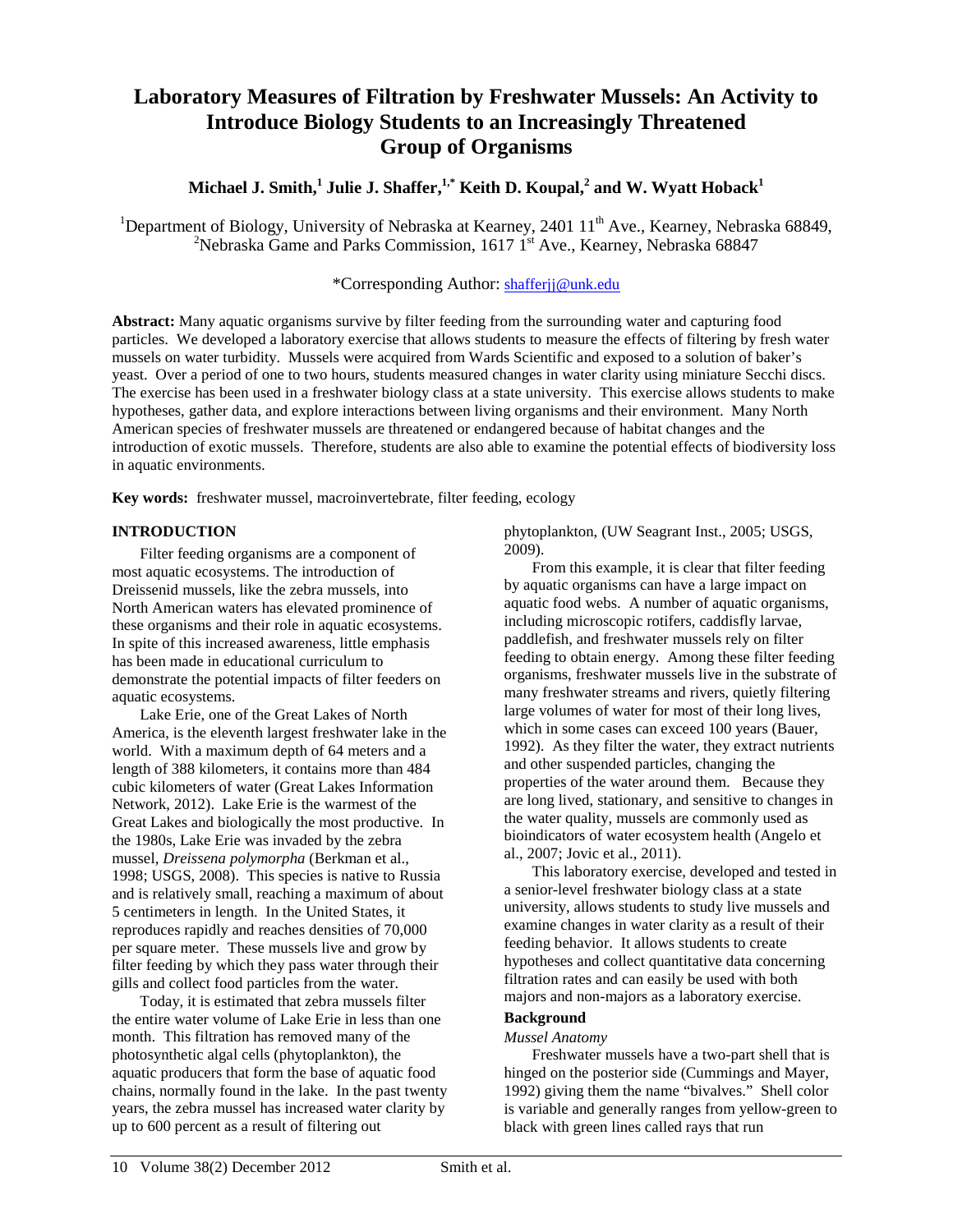# **Laboratory Measures of Filtration by Freshwater Mussels: An Activity to Introduce Biology Students to an Increasingly Threatened Group of Organisms**

## **Michael J. Smith, <sup>1</sup> Julie J. Shaffer, 1,\* Keith D. Koupal, <sup>2</sup> and W. Wyatt Hoback1**

<sup>1</sup>Department of Biology, University of Nebraska at Kearney, 2401  $11^{\text{th}}$  Ave., Kearney, Nebraska 68849,  $\frac{2 \text{N} \cdot \text{A}}{2 \text{N} \cdot \text{A}}$  Commission,  $1617.1^{\text{st}}$  Ave., Kearney, Nebraska 68849, <sup>2</sup>Nebraska Game and Parks Commission, 1617  $1<sup>st</sup>$  Ave., Kearney, Nebraska 68847

## \*Corresponding Author: [shafferjj@unk.edu](mailto:shafferjj@unk.edu)

**Abstract:** Many aquatic organisms survive by filter feeding from the surrounding water and capturing food particles. We developed a laboratory exercise that allows students to measure the effects of filtering by fresh water mussels on water turbidity. Mussels were acquired from Wards Scientific and exposed to a solution of baker's yeast. Over a period of one to two hours, students measured changes in water clarity using miniature Secchi discs. The exercise has been used in a freshwater biology class at a state university. This exercise allows students to make hypotheses, gather data, and explore interactions between living organisms and their environment. Many North American species of freshwater mussels are threatened or endangered because of habitat changes and the introduction of exotic mussels. Therefore, students are also able to examine the potential effects of biodiversity loss in aquatic environments.

**Key words:** freshwater mussel, macroinvertebrate, filter feeding, ecology

## **INTRODUCTION**

Filter feeding organisms are a component of most aquatic ecosystems. The introduction of Dreissenid mussels, like the zebra mussels, into North American waters has elevated prominence of these organisms and their role in aquatic ecosystems. In spite of this increased awareness, little emphasis has been made in educational curriculum to demonstrate the potential impacts of filter feeders on aquatic ecosystems.

Lake Erie, one of the Great Lakes of North America, is the eleventh largest freshwater lake in the world. With a maximum depth of 64 meters and a length of 388 kilometers, it contains more than 484 cubic kilometers of water (Great Lakes Information Network, 2012). Lake Erie is the warmest of the Great Lakes and biologically the most productive. In the 1980s, Lake Erie was invaded by the zebra mussel, *Dreissena polymorpha* (Berkman et al., 1998; USGS, 2008). This species is native to Russia and is relatively small, reaching a maximum of about 5 centimeters in length. In the United States, it reproduces rapidly and reaches densities of 70,000 per square meter. These mussels live and grow by filter feeding by which they pass water through their gills and collect food particles from the water.

Today, it is estimated that zebra mussels filter the entire water volume of Lake Erie in less than one month. This filtration has removed many of the photosynthetic algal cells (phytoplankton), the aquatic producers that form the base of aquatic food chains, normally found in the lake. In the past twenty years, the zebra mussel has increased water clarity by up to 600 percent as a result of filtering out

phytoplankton, (UW Seagrant Inst., 2005; USGS, 2009).

From this example, it is clear that filter feeding by aquatic organisms can have a large impact on aquatic food webs. A number of aquatic organisms, including microscopic rotifers, caddisfly larvae, paddlefish, and freshwater mussels rely on filter feeding to obtain energy. Among these filter feeding organisms, freshwater mussels live in the substrate of many freshwater streams and rivers, quietly filtering large volumes of water for most of their long lives, which in some cases can exceed 100 years (Bauer, 1992). As they filter the water, they extract nutrients and other suspended particles, changing the properties of the water around them. Because they are long lived, stationary, and sensitive to changes in the water quality, mussels are commonly used as bioindicators of water ecosystem health (Angelo et al., 2007; Jovic et al., 2011).

This laboratory exercise, developed and tested in a senior-level freshwater biology class at a state university, allows students to study live mussels and examine changes in water clarity as a result of their feeding behavior. It allows students to create hypotheses and collect quantitative data concerning filtration rates and can easily be used with both majors and non-majors as a laboratory exercise.

## **Background**

## *Mussel Anatomy*

Freshwater mussels have a two-part shell that is hinged on the posterior side (Cummings and Mayer, 1992) giving them the name "bivalves." Shell color is variable and generally ranges from yellow-green to black with green lines called rays that run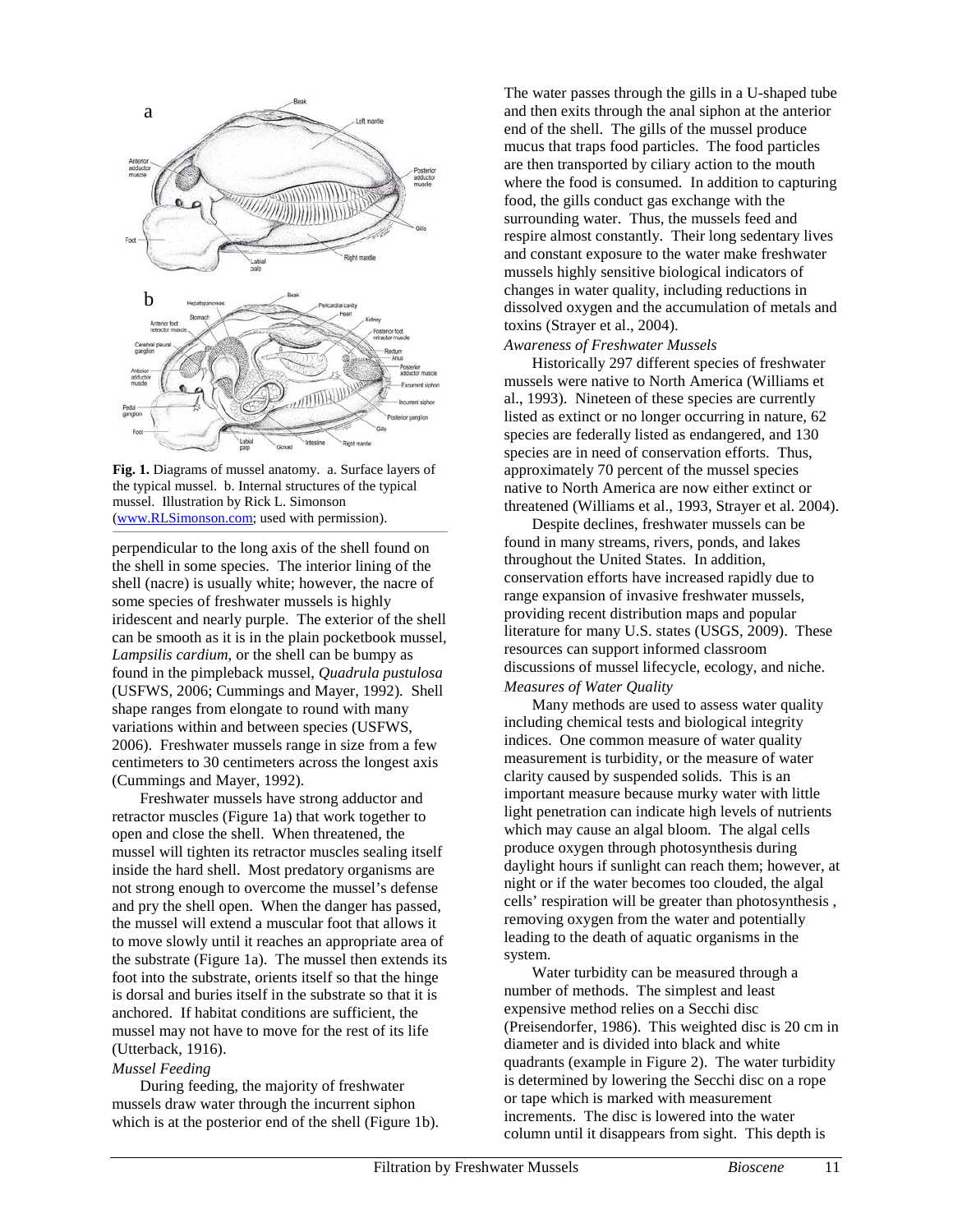

**Fig. 1.** Diagrams of mussel anatomy. a. Surface layers of the typical mussel. b. Internal structures of the typical mussel. Illustration by Rick L. Simonson [\(www.RLSimonson.com;](http://www.rlsimonson.com/) used with permission).

perpendicular to the long axis of the shell found on the shell in some species. The interior lining of the shell (nacre) is usually white; however, the nacre of some species of freshwater mussels is highly iridescent and nearly purple. The exterior of the shell can be smooth as it is in the plain pocketbook mussel, *Lampsilis cardium*, or the shell can be bumpy as found in the pimpleback mussel, *Quadrula pustulosa*  (USFWS, 2006; Cummings and Mayer, 1992)*.* Shell shape ranges from elongate to round with many variations within and between species (USFWS, 2006). Freshwater mussels range in size from a few centimeters to 30 centimeters across the longest axis (Cummings and Mayer, 1992).

Freshwater mussels have strong adductor and retractor muscles (Figure 1a) that work together to open and close the shell. When threatened, the mussel will tighten its retractor muscles sealing itself inside the hard shell. Most predatory organisms are not strong enough to overcome the mussel's defense and pry the shell open. When the danger has passed, the mussel will extend a muscular foot that allows it to move slowly until it reaches an appropriate area of the substrate (Figure 1a). The mussel then extends its foot into the substrate, orients itself so that the hinge is dorsal and buries itself in the substrate so that it is anchored. If habitat conditions are sufficient, the mussel may not have to move for the rest of its life (Utterback, 1916).

#### *Mussel Feeding*

During feeding, the majority of freshwater mussels draw water through the incurrent siphon which is at the posterior end of the shell (Figure 1b).

The water passes through the gills in a U-shaped tube and then exits through the anal siphon at the anterior end of the shell. The gills of the mussel produce mucus that traps food particles. The food particles are then transported by ciliary action to the mouth where the food is consumed. In addition to capturing food, the gills conduct gas exchange with the surrounding water. Thus, the mussels feed and respire almost constantly. Their long sedentary lives and constant exposure to the water make freshwater mussels highly sensitive biological indicators of changes in water quality, including reductions in dissolved oxygen and the accumulation of metals and toxins (Strayer et al., 2004).

*Awareness of Freshwater Mussels*

Historically 297 different species of freshwater mussels were native to North America (Williams et al., 1993). Nineteen of these species are currently listed as extinct or no longer occurring in nature, 62 species are federally listed as endangered, and 130 species are in need of conservation efforts. Thus, approximately 70 percent of the mussel species native to North America are now either extinct or threatened (Williams et al., 1993, Strayer et al. 2004).

Despite declines, freshwater mussels can be found in many streams, rivers, ponds, and lakes throughout the United States. In addition, conservation efforts have increased rapidly due to range expansion of invasive freshwater mussels, providing recent distribution maps and popular literature for many U.S. states (USGS, 2009). These resources can support informed classroom discussions of mussel lifecycle, ecology, and niche. *Measures of Water Quality*

Many methods are used to assess water quality including chemical tests and biological integrity indices. One common measure of water quality measurement is turbidity, or the measure of water clarity caused by suspended solids. This is an important measure because murky water with little light penetration can indicate high levels of nutrients which may cause an algal bloom. The algal cells produce oxygen through photosynthesis during daylight hours if sunlight can reach them; however, at night or if the water becomes too clouded, the algal cells' respiration will be greater than photosynthesis , removing oxygen from the water and potentially leading to the death of aquatic organisms in the system.

Water turbidity can be measured through a number of methods. The simplest and least expensive method relies on a Secchi disc (Preisendorfer, 1986). This weighted disc is 20 cm in diameter and is divided into black and white quadrants (example in Figure 2). The water turbidity is determined by lowering the Secchi disc on a rope or tape which is marked with measurement increments. The disc is lowered into the water column until it disappears from sight. This depth is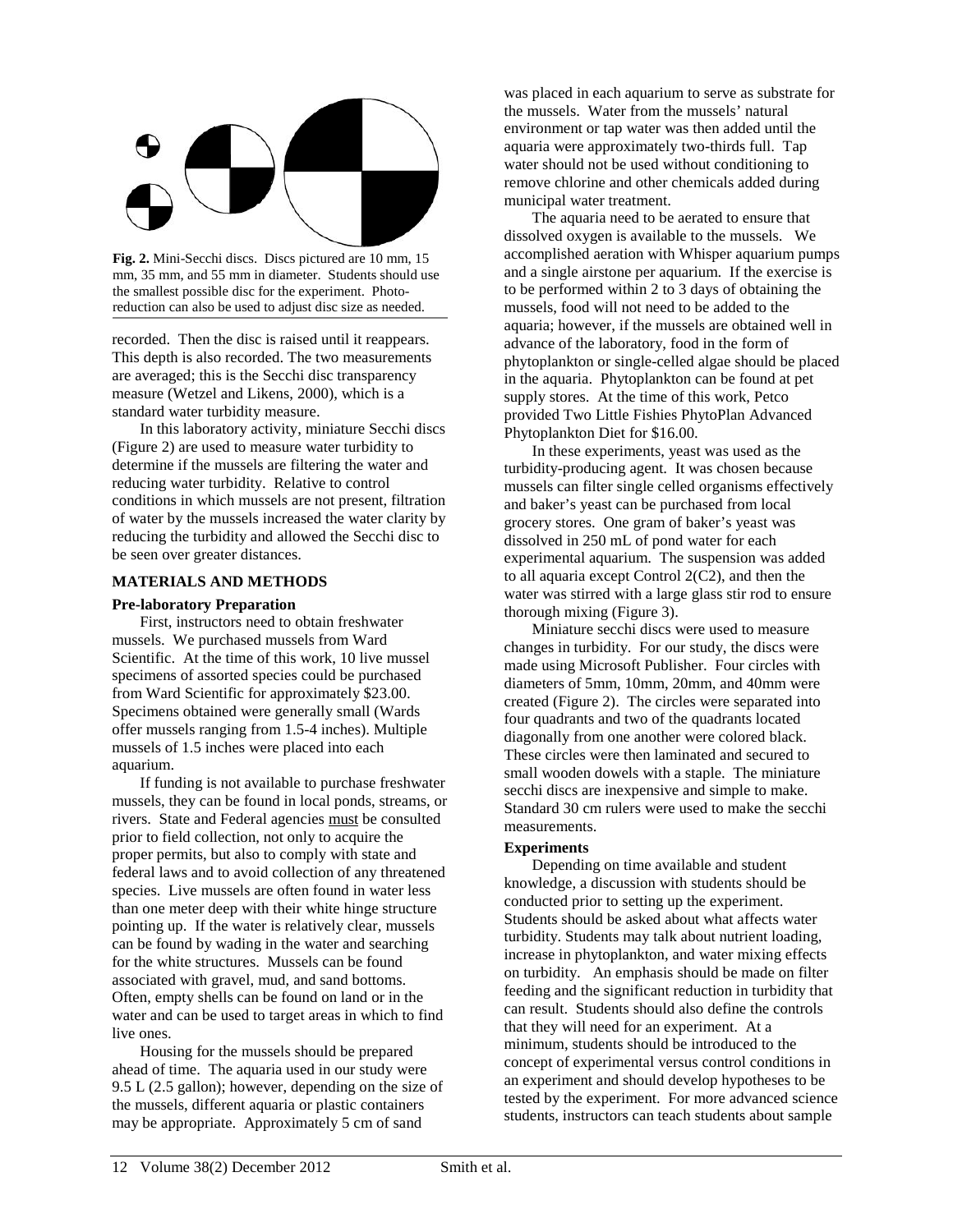

**Fig. 2.** Mini-Secchi discs. Discs pictured are 10 mm, 15 mm, 35 mm, and 55 mm in diameter. Students should use the smallest possible disc for the experiment. Photoreduction can also be used to adjust disc size as needed.

recorded. Then the disc is raised until it reappears. This depth is also recorded. The two measurements are averaged; this is the Secchi disc transparency measure (Wetzel and Likens, 2000), which is a standard water turbidity measure.

In this laboratory activity, miniature Secchi discs (Figure 2) are used to measure water turbidity to determine if the mussels are filtering the water and reducing water turbidity. Relative to control conditions in which mussels are not present, filtration of water by the mussels increased the water clarity by reducing the turbidity and allowed the Secchi disc to be seen over greater distances.

#### **MATERIALS AND METHODS**

#### **Pre-laboratory Preparation**

First, instructors need to obtain freshwater mussels. We purchased mussels from Ward Scientific. At the time of this work, 10 live mussel specimens of assorted species could be purchased from Ward Scientific for approximately \$23.00. Specimens obtained were generally small (Wards offer mussels ranging from 1.5-4 inches). Multiple mussels of 1.5 inches were placed into each aquarium.

If funding is not available to purchase freshwater mussels, they can be found in local ponds, streams, or rivers. State and Federal agencies must be consulted prior to field collection, not only to acquire the proper permits, but also to comply with state and federal laws and to avoid collection of any threatened species. Live mussels are often found in water less than one meter deep with their white hinge structure pointing up. If the water is relatively clear, mussels can be found by wading in the water and searching for the white structures. Mussels can be found associated with gravel, mud, and sand bottoms. Often, empty shells can be found on land or in the water and can be used to target areas in which to find live ones.

Housing for the mussels should be prepared ahead of time. The aquaria used in our study were 9.5 L (2.5 gallon); however, depending on the size of the mussels, different aquaria or plastic containers may be appropriate. Approximately 5 cm of sand

was placed in each aquarium to serve as substrate for the mussels. Water from the mussels' natural environment or tap water was then added until the aquaria were approximately two-thirds full. Tap water should not be used without conditioning to remove chlorine and other chemicals added during municipal water treatment.

The aquaria need to be aerated to ensure that dissolved oxygen is available to the mussels. We accomplished aeration with Whisper aquarium pumps and a single airstone per aquarium. If the exercise is to be performed within 2 to 3 days of obtaining the mussels, food will not need to be added to the aquaria; however, if the mussels are obtained well in advance of the laboratory, food in the form of phytoplankton or single-celled algae should be placed in the aquaria. Phytoplankton can be found at pet supply stores. At the time of this work, Petco provided Two Little Fishies PhytoPlan Advanced Phytoplankton Diet for \$16.00.

In these experiments, yeast was used as the turbidity-producing agent. It was chosen because mussels can filter single celled organisms effectively and baker's yeast can be purchased from local grocery stores. One gram of baker's yeast was dissolved in 250 mL of pond water for each experimental aquarium. The suspension was added to all aquaria except Control 2(C2), and then the water was stirred with a large glass stir rod to ensure thorough mixing (Figure 3).

Miniature secchi discs were used to measure changes in turbidity. For our study, the discs were made using Microsoft Publisher. Four circles with diameters of 5mm, 10mm, 20mm, and 40mm were created (Figure 2). The circles were separated into four quadrants and two of the quadrants located diagonally from one another were colored black. These circles were then laminated and secured to small wooden dowels with a staple. The miniature secchi discs are inexpensive and simple to make. Standard 30 cm rulers were used to make the secchi measurements.

#### **Experiments**

Depending on time available and student knowledge, a discussion with students should be conducted prior to setting up the experiment. Students should be asked about what affects water turbidity. Students may talk about nutrient loading, increase in phytoplankton, and water mixing effects on turbidity. An emphasis should be made on filter feeding and the significant reduction in turbidity that can result. Students should also define the controls that they will need for an experiment. At a minimum, students should be introduced to the concept of experimental versus control conditions in an experiment and should develop hypotheses to be tested by the experiment. For more advanced science students, instructors can teach students about sample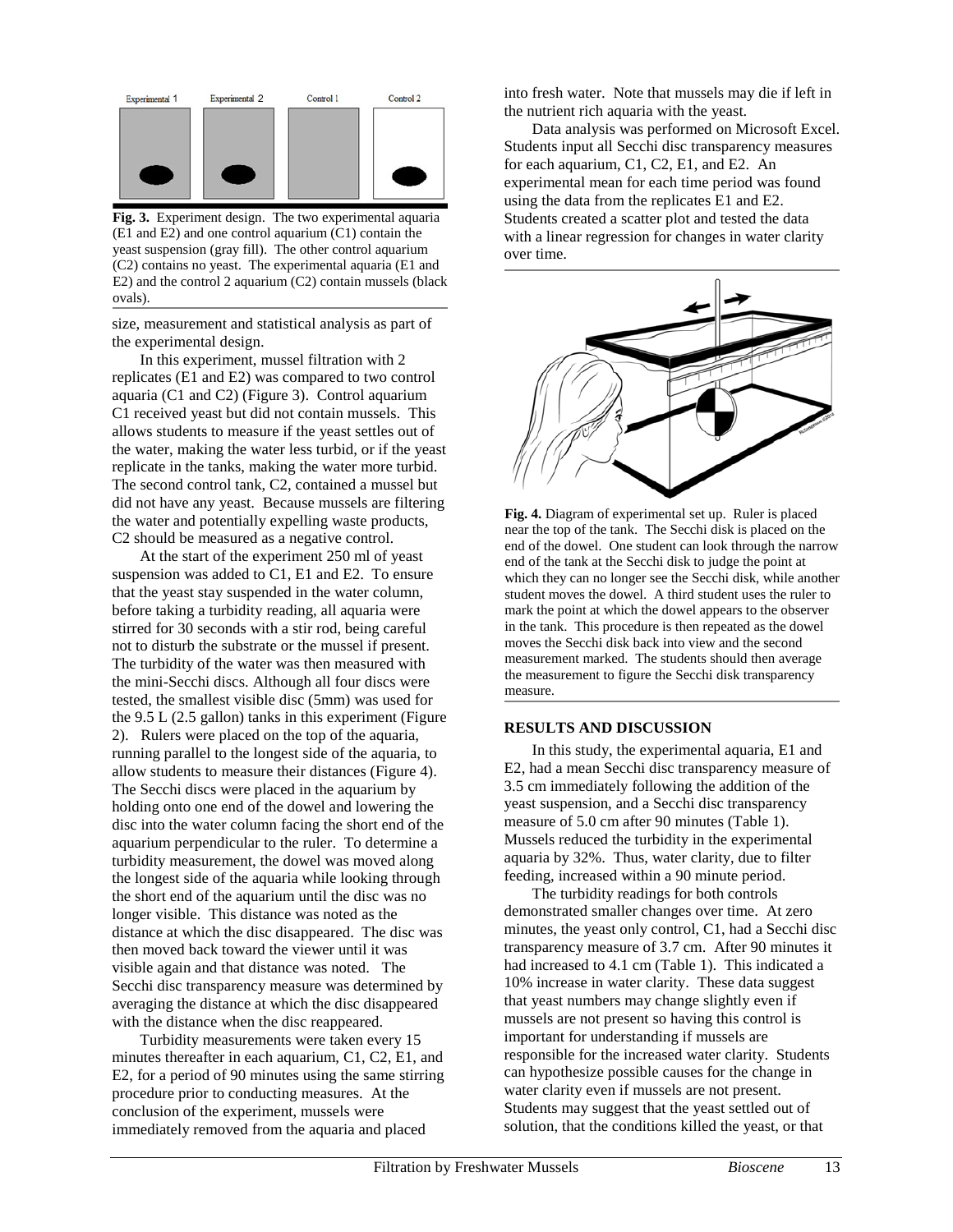

**Fig. 3.** Experiment design. The two experimental aquaria (E1 and E2) and one control aquarium (C1) contain the yeast suspension (gray fill). The other control aquarium (C2) contains no yeast. The experimental aquaria (E1 and E2) and the control 2 aquarium (C2) contain mussels (black ovals).

size, measurement and statistical analysis as part of the experimental design.

In this experiment, mussel filtration with 2 replicates (E1 and E2) was compared to two control aquaria (C1 and C2) (Figure 3). Control aquarium C1 received yeast but did not contain mussels. This allows students to measure if the yeast settles out of the water, making the water less turbid, or if the yeast replicate in the tanks, making the water more turbid. The second control tank, C2, contained a mussel but did not have any yeast. Because mussels are filtering the water and potentially expelling waste products, C2 should be measured as a negative control.

At the start of the experiment 250 ml of yeast suspension was added to C1, E1 and E2. To ensure that the yeast stay suspended in the water column, before taking a turbidity reading, all aquaria were stirred for 30 seconds with a stir rod, being careful not to disturb the substrate or the mussel if present. The turbidity of the water was then measured with the mini-Secchi discs. Although all four discs were tested, the smallest visible disc (5mm) was used for the 9.5 L (2.5 gallon) tanks in this experiment (Figure 2). Rulers were placed on the top of the aquaria, running parallel to the longest side of the aquaria, to allow students to measure their distances (Figure 4). The Secchi discs were placed in the aquarium by holding onto one end of the dowel and lowering the disc into the water column facing the short end of the aquarium perpendicular to the ruler. To determine a turbidity measurement, the dowel was moved along the longest side of the aquaria while looking through the short end of the aquarium until the disc was no longer visible. This distance was noted as the distance at which the disc disappeared. The disc was then moved back toward the viewer until it was visible again and that distance was noted. The Secchi disc transparency measure was determined by averaging the distance at which the disc disappeared with the distance when the disc reappeared.

Turbidity measurements were taken every 15 minutes thereafter in each aquarium, C1, C2, E1, and E2, for a period of 90 minutes using the same stirring procedure prior to conducting measures. At the conclusion of the experiment, mussels were immediately removed from the aquaria and placed

into fresh water. Note that mussels may die if left in the nutrient rich aquaria with the yeast.

Data analysis was performed on Microsoft Excel. Students input all Secchi disc transparency measures for each aquarium, C1, C2, E1, and E2. An experimental mean for each time period was found using the data from the replicates E1 and E2. Students created a scatter plot and tested the data with a linear regression for changes in water clarity over time.



**Fig. 4.** Diagram of experimental set up. Ruler is placed near the top of the tank. The Secchi disk is placed on the end of the dowel. One student can look through the narrow end of the tank at the Secchi disk to judge the point at which they can no longer see the Secchi disk, while another student moves the dowel. A third student uses the ruler to mark the point at which the dowel appears to the observer in the tank. This procedure is then repeated as the dowel moves the Secchi disk back into view and the second measurement marked. The students should then average the measurement to figure the Secchi disk transparency measure.

#### **RESULTS AND DISCUSSION**

In this study, the experimental aquaria, E1 and E2, had a mean Secchi disc transparency measure of 3.5 cm immediately following the addition of the yeast suspension, and a Secchi disc transparency measure of 5.0 cm after 90 minutes (Table 1). Mussels reduced the turbidity in the experimental aquaria by 32%. Thus, water clarity, due to filter feeding, increased within a 90 minute period.

The turbidity readings for both controls demonstrated smaller changes over time. At zero minutes, the yeast only control, C1, had a Secchi disc transparency measure of 3.7 cm. After 90 minutes it had increased to 4.1 cm (Table 1). This indicated a 10% increase in water clarity. These data suggest that yeast numbers may change slightly even if mussels are not present so having this control is important for understanding if mussels are responsible for the increased water clarity. Students can hypothesize possible causes for the change in water clarity even if mussels are not present. Students may suggest that the yeast settled out of solution, that the conditions killed the yeast, or that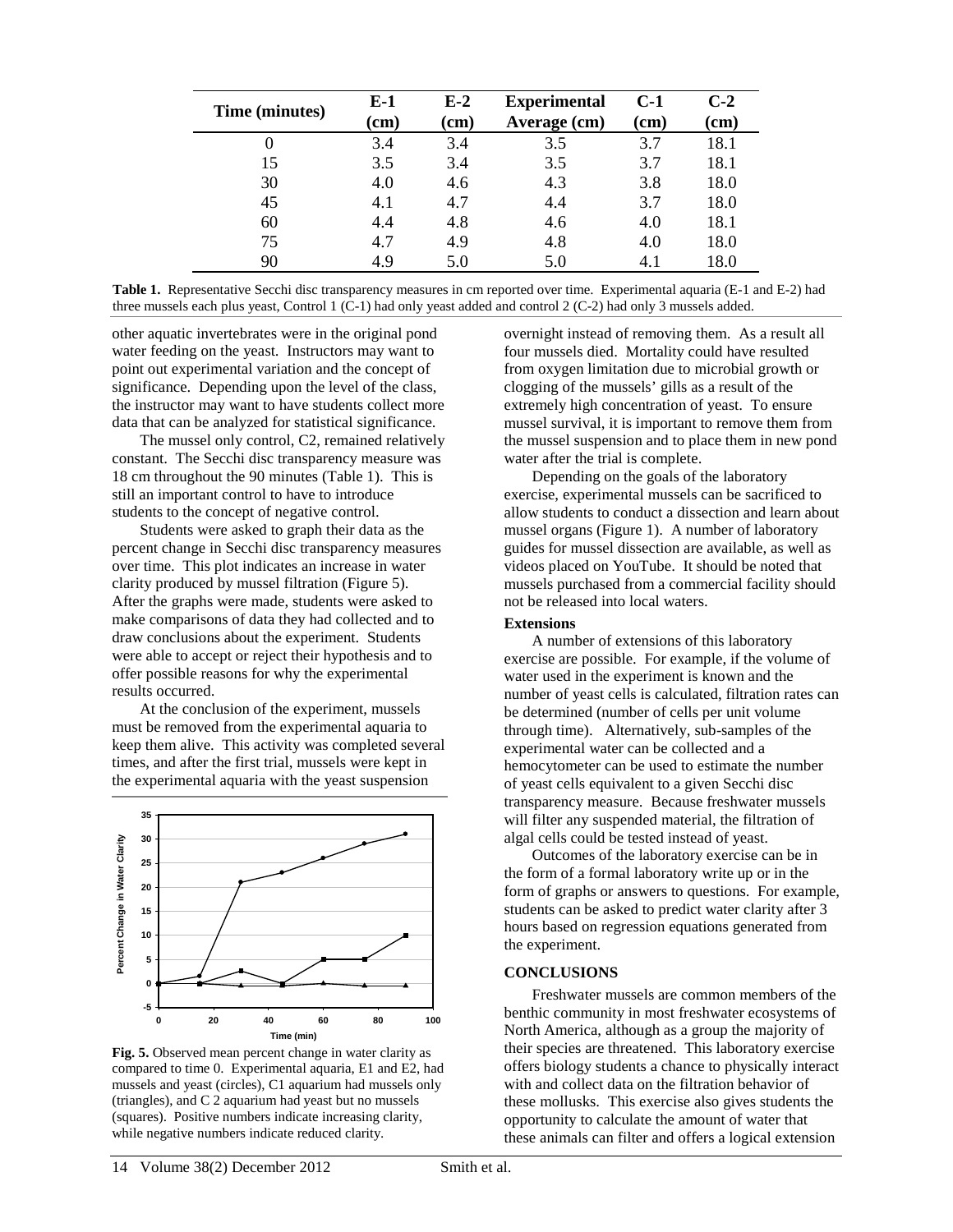| Time (minutes) | E-1<br>$\mathbf{(cm)}$ | $E-2$<br>(cm) | <b>Experimental</b><br>Average (cm) | $C-1$<br>$\mathbf{(cm)}$ | $C-2$<br>$\mathbf{(cm)}$ |
|----------------|------------------------|---------------|-------------------------------------|--------------------------|--------------------------|
|                | 3.4                    | 3.4           | 3.5                                 | 3.7                      | 18.1                     |
| 15             | 3.5                    | 3.4           | 3.5                                 | 3.7                      | 18.1                     |
| 30             | 4.0                    | 4.6           | 4.3                                 | 3.8                      | 18.0                     |
| 45             | 4.1                    | 4.7           | 4.4                                 | 3.7                      | 18.0                     |
| 60             | 4.4                    | 4.8           | 4.6                                 | 4.0                      | 18.1                     |
| 75             | 4.7                    | 4.9           | 4.8                                 | 4.0                      | 18.0                     |
| 90             | 49                     | 5.0           | 5.0                                 | 4.1                      | 18.0                     |

|                                                                                                                   |  |  |  | Table 1. Representative Secchi disc transparency measures in cm reported over time. Experimental aquaria (E-1 and E-2) had |
|-------------------------------------------------------------------------------------------------------------------|--|--|--|----------------------------------------------------------------------------------------------------------------------------|
| three mussels each plus yeast, Control 1 (C-1) had only yeast added and control 2 (C-2) had only 3 mussels added. |  |  |  |                                                                                                                            |

other aquatic invertebrates were in the original pond water feeding on the yeast. Instructors may want to point out experimental variation and the concept of significance. Depending upon the level of the class, the instructor may want to have students collect more data that can be analyzed for statistical significance.

The mussel only control, C2, remained relatively constant. The Secchi disc transparency measure was 18 cm throughout the 90 minutes (Table 1). This is still an important control to have to introduce students to the concept of negative control.

Students were asked to graph their data as the percent change in Secchi disc transparency measures over time. This plot indicates an increase in water clarity produced by mussel filtration (Figure 5). After the graphs were made, students were asked to make comparisons of data they had collected and to draw conclusions about the experiment. Students were able to accept or reject their hypothesis and to offer possible reasons for why the experimental results occurred.

At the conclusion of the experiment, mussels must be removed from the experimental aquaria to keep them alive. This activity was completed several times, and after the first trial, mussels were kept in the experimental aquaria with the yeast suspension



**Fig. 5.** Observed mean percent change in water clarity as compared to time 0. Experimental aquaria, E1 and E2, had mussels and yeast (circles), C1 aquarium had mussels only (triangles), and C 2 aquarium had yeast but no mussels (squares). Positive numbers indicate increasing clarity, while negative numbers indicate reduced clarity.

overnight instead of removing them. As a result all four mussels died. Mortality could have resulted from oxygen limitation due to microbial growth or clogging of the mussels' gills as a result of the extremely high concentration of yeast. To ensure mussel survival, it is important to remove them from the mussel suspension and to place them in new pond water after the trial is complete.

Depending on the goals of the laboratory exercise, experimental mussels can be sacrificed to allow students to conduct a dissection and learn about mussel organs (Figure 1). A number of laboratory guides for mussel dissection are available, as well as videos placed on YouTube. It should be noted that mussels purchased from a commercial facility should not be released into local waters.

#### **Extensions**

A number of extensions of this laboratory exercise are possible. For example, if the volume of water used in the experiment is known and the number of yeast cells is calculated, filtration rates can be determined (number of cells per unit volume through time). Alternatively, sub-samples of the experimental water can be collected and a hemocytometer can be used to estimate the number of yeast cells equivalent to a given Secchi disc transparency measure. Because freshwater mussels will filter any suspended material, the filtration of algal cells could be tested instead of yeast.

Outcomes of the laboratory exercise can be in the form of a formal laboratory write up or in the form of graphs or answers to questions. For example, students can be asked to predict water clarity after 3 hours based on regression equations generated from the experiment.

#### **CONCLUSIONS**

Freshwater mussels are common members of the benthic community in most freshwater ecosystems of North America, although as a group the majority of their species are threatened. This laboratory exercise offers biology students a chance to physically interact with and collect data on the filtration behavior of these mollusks. This exercise also gives students the opportunity to calculate the amount of water that these animals can filter and offers a logical extension